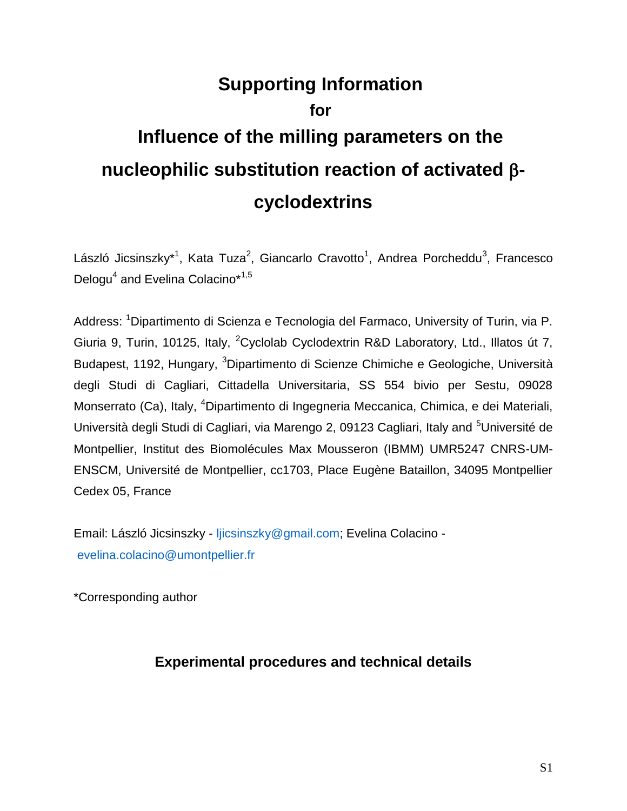# **Supporting Information for Influence of the milling parameters on the nucleophilic substitution reaction of activated cyclodextrins**

László Jicsinszky\*<sup>1</sup>, Kata Tuza<sup>2</sup>, Giancarlo Cravotto<sup>1</sup>, Andrea Porcheddu<sup>3</sup>, Francesco Delogu<sup>4</sup> and Evelina Colacino\*<sup>1,5</sup>

Address: <sup>1</sup>Dipartimento di Scienza e Tecnologia del Farmaco, University of Turin, via P. Giuria 9, Turin, 10125, Italy, <sup>2</sup>Cyclolab Cyclodextrin R&D Laboratory, Ltd., Illatos út 7, Budapest, 1192, Hungary, <sup>3</sup>Dipartimento di Scienze Chimiche e Geologiche, Università degli Studi di Cagliari, Cittadella Universitaria, SS 554 bivio per Sestu, 09028 Monserrato (Ca), Italy, <sup>4</sup>Dipartimento di Ingegneria Meccanica, Chimica, e dei Materiali, Università degli Studi di Cagliari, via Marengo 2, 09123 Cagliari, Italy and <sup>5</sup>Université de Montpellier, Institut des Biomolécules Max Mousseron (IBMM) UMR5247 CNRS-UM-ENSCM, Université de Montpellier, cc1703, Place Eugène Bataillon, 34095 Montpellier Cedex 05, France

Email: László Jicsinszky - [ljicsinszky@gmail.com;](mailto:ljicsinszky@gmail.com) Evelina Colacino [evelina.colacino@umontpellier.fr](mailto:evelina.colacino@umontpellier.fr)

\*Corresponding author

#### **Experimental procedures and technical details**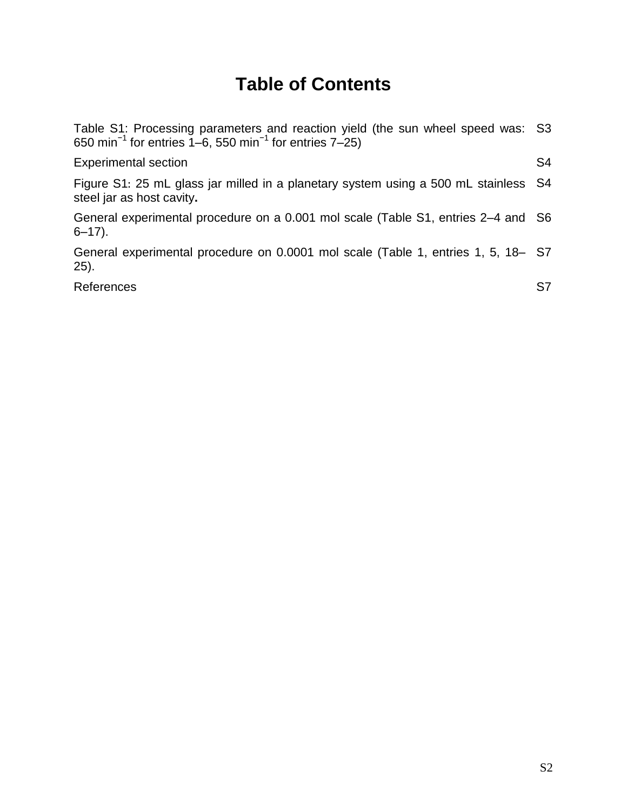# **Table of Contents**

| Table S1: Processing parameters and reaction yield (the sun wheel speed was: S3<br>650 min <sup>-1</sup> for entries $1-6$ , 550 min <sup>-1</sup> for entries $7-25$ ) |                |
|-------------------------------------------------------------------------------------------------------------------------------------------------------------------------|----------------|
| <b>Experimental section</b>                                                                                                                                             | S <sub>4</sub> |
| Figure S1: 25 mL glass jar milled in a planetary system using a 500 mL stainless S4<br>steel jar as host cavity.                                                        |                |
| General experimental procedure on a 0.001 mol scale (Table S1, entries 2–4 and S6<br>$6 - 17$ ).                                                                        |                |
| General experimental procedure on 0.0001 mol scale (Table 1, entries 1, 5, 18– S7<br>$(25)$ .                                                                           |                |
| References                                                                                                                                                              | S7             |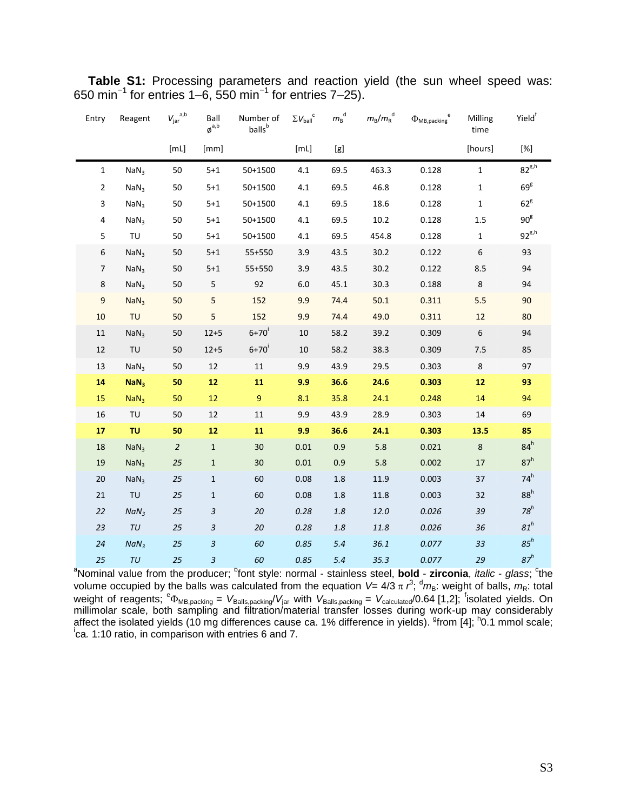| Entry            | Reagent          | $V_{\text{jar}}^{a,b}$ | Ball<br>$\boldsymbol{\phi}^{\mathrm{a},\mathrm{b}}$ | Number of<br>balls <sup>b</sup> | $\Sigma V_{\text{ball}}^{\quad c}$ | ${m_{\rm B}}^{\rm d}$ | $m_{\rm B}/m_{\rm R}^{~~\rm d}$ | $\Phi_{\text{MB}, \text{packing}}^{\text{e}}$ | Milling<br>time | Yield <sup>†</sup> |
|------------------|------------------|------------------------|-----------------------------------------------------|---------------------------------|------------------------------------|-----------------------|---------------------------------|-----------------------------------------------|-----------------|--------------------|
|                  |                  | [ML]                   | [mm]                                                |                                 | [ML]                               | [g]                   |                                 |                                               | [hours]         | $[\%]$             |
| $\mathbf{1}$     | NaN <sub>3</sub> | 50                     | $5 + 1$                                             | 50+1500                         | 4.1                                | 69.5                  | 463.3                           | 0.128                                         | $\mathbf{1}$    | $82^{g,h}$         |
| $\overline{2}$   | NaN <sub>3</sub> | 50                     | $5 + 1$                                             | 50+1500                         | 4.1                                | 69.5                  | 46.8                            | 0.128                                         | $\mathbf{1}$    | 69 <sup>g</sup>    |
| 3                | NaN <sub>3</sub> | 50                     | $5 + 1$                                             | 50+1500                         | 4.1                                | 69.5                  | 18.6                            | 0.128                                         | $\mathbf{1}$    | $62^8$             |
| 4                | NaN <sub>3</sub> | 50                     | $5 + 1$                                             | 50+1500                         | 4.1                                | 69.5                  | $10.2\,$                        | 0.128                                         | 1.5             | 90 <sup>g</sup>    |
| 5                | TU               | 50                     | $5 + 1$                                             | 50+1500                         | 4.1                                | 69.5                  | 454.8                           | 0.128                                         | $\mathbf{1}$    | $92^{g,h}$         |
| $\boldsymbol{6}$ | NaN <sub>3</sub> | 50                     | $5 + 1$                                             | 55+550                          | 3.9                                | 43.5                  | 30.2                            | 0.122                                         | 6               | 93                 |
| $\overline{7}$   | NaN <sub>3</sub> | 50                     | $5 + 1$                                             | 55+550                          | 3.9                                | 43.5                  | 30.2                            | 0.122                                         | 8.5             | 94                 |
| 8                | NaN <sub>3</sub> | 50                     | 5                                                   | 92                              | 6.0                                | 45.1                  | 30.3                            | 0.188                                         | $\,8\,$         | 94                 |
| 9                | NaN <sub>3</sub> | 50                     | 5                                                   | 152                             | 9.9                                | 74.4                  | 50.1                            | 0.311                                         | 5.5             | 90                 |
| 10               | <b>TU</b>        | 50                     | 5                                                   | 152                             | 9.9                                | 74.4                  | 49.0                            | 0.311                                         | 12              | 80                 |
| 11               | NaN <sub>3</sub> | 50                     | $12 + 5$                                            | $6 + 70'$                       | 10                                 | 58.2                  | 39.2                            | 0.309                                         | 6               | 94                 |
| 12               | TU               | 50                     | $12 + 5$                                            | $6+70'$                         | 10                                 | 58.2                  | 38.3                            | 0.309                                         | 7.5             | 85                 |
| 13               | NaN <sub>3</sub> | 50                     | 12                                                  | $11\,$                          | 9.9                                | 43.9                  | 29.5                            | 0.303                                         | $\bf 8$         | 97                 |
| 14               | NaN <sub>3</sub> | 50                     | 12                                                  | 11                              | 9.9                                | 36.6                  | 24.6                            | 0.303                                         | ${\bf 12}$      | 93                 |
| 15               | NaN <sub>3</sub> | 50                     | 12                                                  | $9\,$                           | 8.1                                | 35.8                  | 24.1                            | 0.248                                         | 14              | 94                 |
| 16               | TU               | 50                     | 12                                                  | 11                              | 9.9                                | 43.9                  | 28.9                            | 0.303                                         | 14              | 69                 |
| 17               | <b>TU</b>        | 50                     | 12                                                  | 11                              | 9.9                                | 36.6                  | 24.1                            | 0.303                                         | 13.5            | 85                 |
| 18               | NaN <sub>3</sub> | $\overline{a}$         | $\mathbf{1}$                                        | 30                              | 0.01                               | 0.9                   | 5.8                             | 0.021                                         | $\,8\,$         | $84^h$             |
| 19               | NaN <sub>3</sub> | 25                     | $\mathbf{1}$                                        | 30                              | 0.01                               | 0.9                   | 5.8                             | 0.002                                         | $17\,$          | 87 <sup>h</sup>    |
| $20\,$           | NaN <sub>3</sub> | 25                     | $\mathbf{1}$                                        | 60                              | 0.08                               | $1.8\,$               | 11.9                            | 0.003                                         | 37              | $74^h$             |
| 21               | TU               | 25                     | $\mathbf{1}$                                        | 60                              | 0.08                               | $1.8\,$               | 11.8                            | 0.003                                         | 32              | 88 <sup>h</sup>    |
| 22               | NaN <sub>3</sub> | 25                     | 3                                                   | 20                              | 0.28                               | 1.8                   | 12.0                            | 0.026                                         | 39              | $78^h$             |
| 23               | TU               | 25                     | $\sqrt{3}$                                          | 20                              | 0.28                               | 1.8                   | 11.8                            | 0.026                                         | 36              | $81^h$             |
| 24               | NaN <sub>3</sub> | 25                     | $\sqrt{3}$                                          | 60                              | 0.85                               | 5.4                   | 36.1                            | 0.077                                         | 33              | $85^h$             |
| 25               | $\tau\upsilon$   | 25                     | 3                                                   | 60                              | 0.85                               | 5.4                   | 35.3                            | 0.077                                         | 29              | 87 <sup>h</sup>    |

<span id="page-2-0"></span>**Table S1:** Processing parameters and reaction yield (the sun wheel speed was: 650 min−1 for entries 1–6, 550 min−1 for entries 7–25).

<sup>a</sup>Nominal value from the producer; <sup>b</sup>font style: normal - stainless steel, **bold - zirconia**, *italic* - *glass*; <sup>c</sup>the volume occupied by the balls was calculated from the equation *V*= 4/3  $\pi$   $r^3$ ; <sup>d</sup>m<sub>B</sub>: weight of balls, m<sub>R</sub>: total weight of reagents;  $e_{\Phi_{MB, packing}} = V_{Balls, packing}/V_{jar}$  with  $V_{Balls, packing} = V_{calculated}/0.64$  [1,2]; <sup>f</sup>isolated yields. On millimolar scale, both sampling and filtration/material transfer losses during work-up may considerably affect the isolated yields (10 mg differences cause ca. 1% difference in yields). <sup>9</sup>from [4]; <sup>h</sup>0.1 mmol scale; i ca*.* 1:10 ratio, in comparison with entries 6 and 7.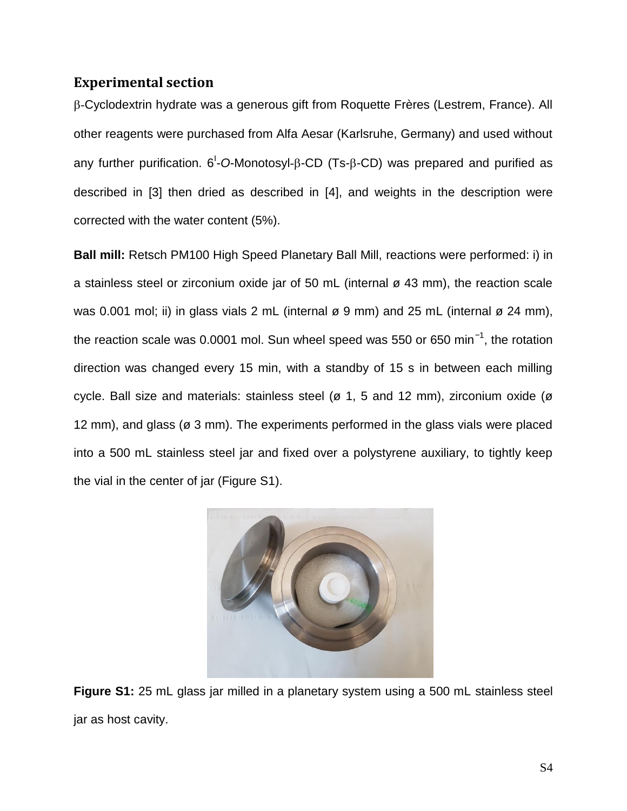#### <span id="page-3-0"></span>**Experimental section**

-Cyclodextrin hydrate was a generous gift from Roquette Frères (Lestrem, France). All other reagents were purchased from Alfa Aesar (Karlsruhe, Germany) and used without any further purification. 6<sup>1</sup>-O-Monotosyl-β-CD (Ts-β-CD) was prepared and purified as described in [3] then dried as described in [4], and weights in the description were corrected with the water content (5%).

**Ball mill:** Retsch PM100 High Speed Planetary Ball Mill, reactions were performed: i) in a stainless steel or zirconium oxide jar of 50 mL (internal ø 43 mm), the reaction scale was 0.001 mol; ii) in glass vials 2 mL (internal  $\varnothing$  9 mm) and 25 mL (internal  $\varnothing$  24 mm), the reaction scale was 0.0001 mol. Sun wheel speed was 550 or 650 min*<sup>−</sup>*<sup>1</sup> , the rotation direction was changed every 15 min, with a standby of 15 s in between each milling cycle. Ball size and materials: stainless steel (ø 1, 5 and 12 mm), zirconium oxide (ø 12 mm), and glass (ø 3 mm). The experiments performed in the glass vials were placed into a 500 mL stainless steel jar and fixed over a polystyrene auxiliary, to tightly keep the vial in the center of jar (Figure S1).

<span id="page-3-1"></span>

**Figure S1:** 25 mL glass jar milled in a planetary system using a 500 mL stainless steel jar as host cavity.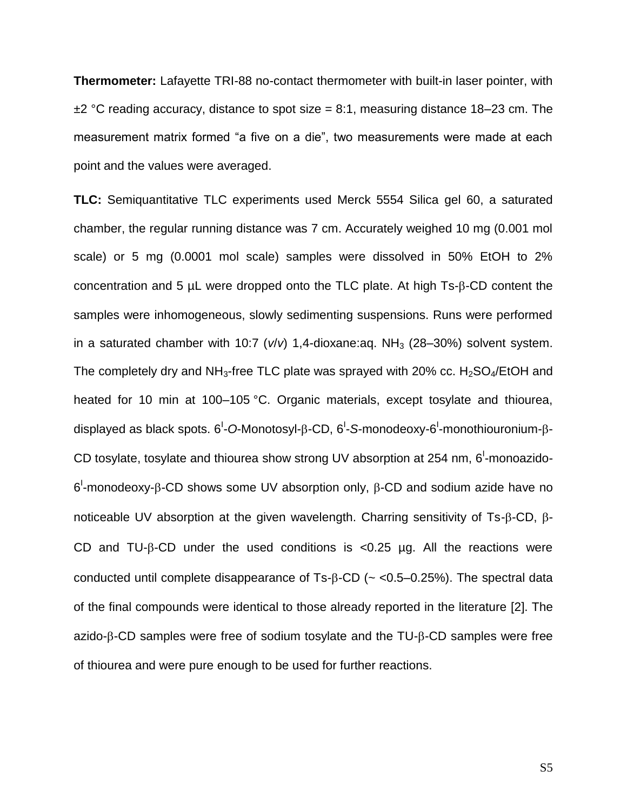**Thermometer:** Lafayette TRI-88 no-contact thermometer with built-in laser pointer, with *±*2 °C reading accuracy, distance to spot size = 8:1, measuring distance 18–23 cm. The measurement matrix formed "a five on a die", two measurements were made at each point and the values were averaged.

**TLC:** Semiquantitative TLC experiments used Merck 5554 Silica gel 60, a saturated chamber, the regular running distance was 7 cm. Accurately weighed 10 mg (0.001 mol scale) or 5 mg (0.0001 mol scale) samples were dissolved in 50% EtOH to 2% concentration and 5  $\mu$ L were dropped onto the TLC plate. At high Ts- $\beta$ -CD content the samples were inhomogeneous, slowly sedimenting suspensions. Runs were performed in a saturated chamber with 10:7 ( $v/v$ ) 1,4-dioxane:aq. NH<sub>3</sub> (28–30%) solvent system. The completely dry and  $NH_3$ -free TLC plate was sprayed with 20% cc.  $H_2SO_4$ /EtOH and heated for 10 min at 100–105 °C. Organic materials, except tosylate and thiourea, displayed as black spots. 6<sup>ι</sup>-O-Monotosyl-β-CD, 6<sup>ι</sup>-S-monodeoxy-6<sup>ι</sup>-monothiouronium-β-CD tosylate, tosylate and thiourea show strong UV absorption at 254 nm,  $6^{\text{l}}$ -monoazido- $6^{\text{l}}$ -monodeoxy- $\beta$ -CD shows some UV absorption only,  $\beta$ -CD and sodium azide have no noticeable UV absorption at the given wavelength. Charring sensitivity of Ts- $\beta$ -CD,  $\beta$ -CD and TU- $\beta$ -CD under the used conditions is <0.25 µg. All the reactions were conducted until complete disappearance of  $Ts-\beta$ -CD ( $\sim$  <0.5–0.25%). The spectral data of the final compounds were identical to those already reported in the literature [2]. The  $a$ zido- $\beta$ -CD samples were free of sodium tosylate and the TU- $\beta$ -CD samples were free of thiourea and were pure enough to be used for further reactions.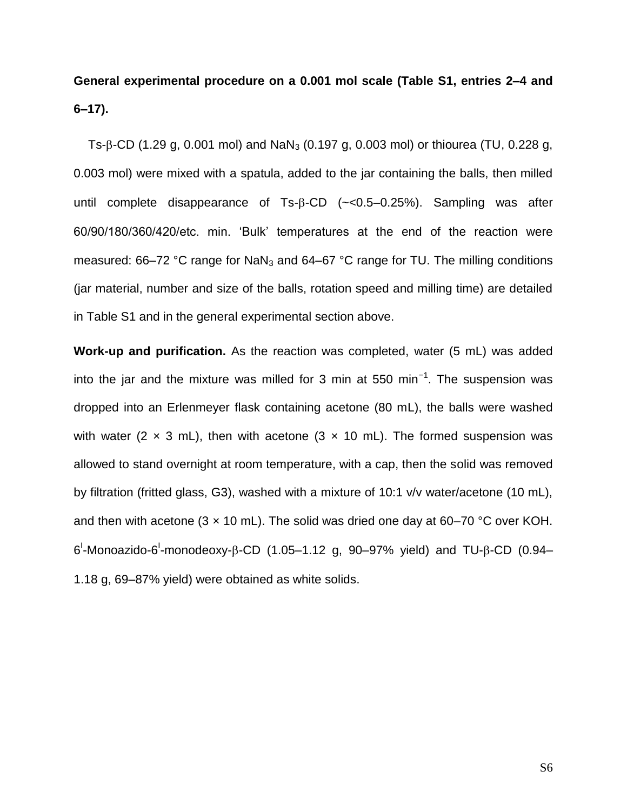## <span id="page-5-0"></span>**General experimental procedure on a 0.001 mol scale (Table S1, entries 2–4 and 6–17).**

Ts- $\beta$ -CD (1.29 g, 0.001 mol) and NaN<sub>3</sub> (0.197 g, 0.003 mol) or thiourea (TU, 0.228 g, 0.003 mol) were mixed with a spatula, added to the jar containing the balls, then milled until complete disappearance of  $Ts-\beta$ -CD ( $\lt\lt$ 0.5–0.25%). Sampling was after 60/90/180/360/420/etc. min. 'Bulk' temperatures at the end of the reaction were measured:  $66-72$  °C range for NaN<sub>3</sub> and  $64-67$  °C range for TU. The milling conditions (jar material, number and size of the balls, rotation speed and milling time) are detailed in Table S1 and in the general experimental section above.

<span id="page-5-1"></span>**Work-up and purification.** As the reaction was completed, water (5 mL) was added into the jar and the mixture was milled for 3 min at 550 min<sup>-1</sup>. The suspension was dropped into an Erlenmeyer flask containing acetone (80 mL), the balls were washed with water (2  $\times$  3 mL), then with acetone (3  $\times$  10 mL). The formed suspension was allowed to stand overnight at room temperature, with a cap, then the solid was removed by filtration (fritted glass, G3), washed with a mixture of 10:1 v/v water/acetone (10 mL), and then with acetone (3  $\times$  10 mL). The solid was dried one day at 60–70 °C over KOH. 6<sup>'</sup>-Monoazido-6<sup>'</sup>-monodeoxy-β-CD (1.05–1.12 g, 90–97% yield) and TU-β-CD (0.94– 1.18 g, 69–87% yield) were obtained as white solids.